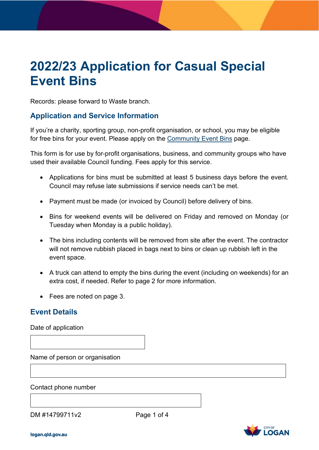# **2022/23 Application for Casual Special Event Bins**

Records: please forward to Waste branch.

## **Application and Service Information**

for free bins for your event. Please apply on the <u>Community Event Bins</u> page. If you're a charity, sporting group, non-profit organisation, or school, you may be eligible

 This form is for use by for-profit organisations, business, and community groups who have used their available Council funding. Fees apply for this service.

- • Applications for bins must be submitted at least 5 business days before the event. Council may refuse late submissions if service needs can't be met.
- Payment must be made (or invoiced by Council) before delivery of bins.
- • Bins for weekend events will be delivered on Friday and removed on Monday (or Tuesday when Monday is a public holiday).
- will not remove rubbish placed in bags next to bins or clean up rubbish left in the • The bins including contents will be removed from site after the event. The contractor event space.
- A truck can attend to empty the bins during the event (including on weekends) for an extra cost, if needed. Refer to page 2 for more information.
- Fees are noted on page 3.

## **Event Details**

Date of application

Name of person or organisation

Contact phone number

DM #14799711v2

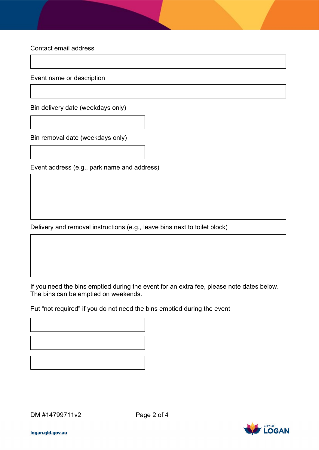Contact email address

Event name or description

Bin delivery date (weekdays only)

Bin removal date (weekdays only)

Event address (e.g., park name and address)

Delivery and removal instructions (e.g., leave bins next to toilet block)

 If you need the bins emptied during the event for an extra fee, please note dates below. The bins can be emptied on weekends.

Put "not required" if you do not need the bins emptied during the event

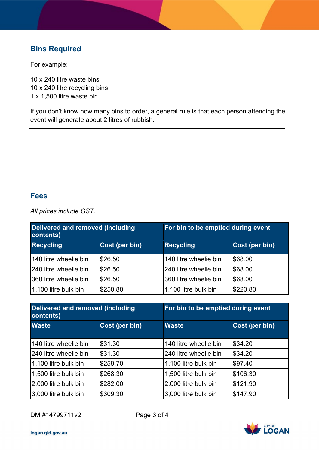# **Bins Required**

For example:

10 x 240 litre waste bins 10 x 240 litre recycling bins 1 x 1,500 litre waste bin

 If you don't know how many bins to order, a general rule is that each person attending the event will generate about 2 litres of rubbish.

### **Fees**

*All prices include GST.* 

| Delivered and removed (including<br>contents) |                | For bin to be emptied during event |                |
|-----------------------------------------------|----------------|------------------------------------|----------------|
| <b>Recycling</b>                              | Cost (per bin) | <b>Recycling</b>                   | Cost (per bin) |
| 140 litre wheelie bin                         | \$26.50        | 140 litre wheelie bin              | \$68.00        |
| 240 litre wheelie bin                         | \$26.50        | 240 litre wheelie bin              | \$68.00        |
| 360 litre wheelie bin                         | \$26.50        | 360 litre wheelie bin              | \$68.00        |
| 1,100 litre bulk bin                          | \$250.80       | 1,100 litre bulk bin               | \$220.80       |

| Delivered and removed (including<br>contents) |                |                       | For bin to be emptied during event |  |
|-----------------------------------------------|----------------|-----------------------|------------------------------------|--|
| <b>Waste</b>                                  | Cost (per bin) | <b>Waste</b>          | Cost (per bin)                     |  |
| 140 litre wheelie bin                         | \$31.30        | 140 litre wheelie bin | \$34.20                            |  |
| 240 litre wheelie bin                         | \$31.30        | 240 litre wheelie bin | \$34.20                            |  |
| 1,100 litre bulk bin                          | \$259.70       | 1,100 litre bulk bin  | \$97.40                            |  |
| 1,500 litre bulk bin                          | \$268.30       | 1,500 litre bulk bin  | \$106.30                           |  |
| 2,000 litre bulk bin                          | \$282.00       | 2,000 litre bulk bin  | \$121.90                           |  |
| 3,000 litre bulk bin                          | \$309.30       | 3,000 litre bulk bin  | \$147.90                           |  |

DM #14799711v2